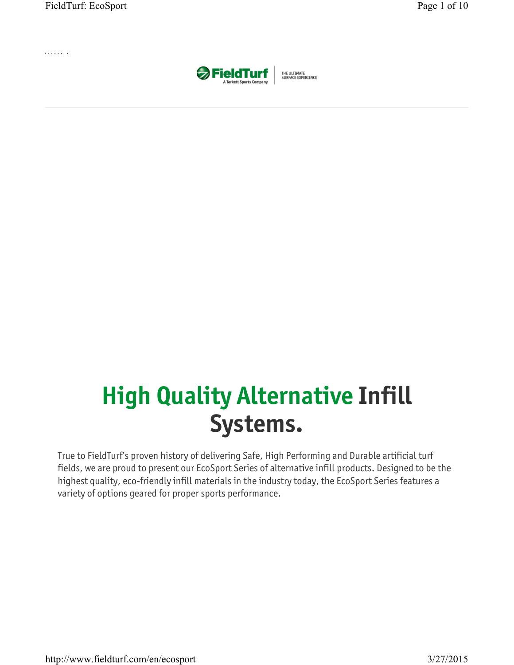$\sim 100$  and  $\sim 100$ 



## High Quality Alternative Infill Systems.

True to FieldTurf's proven history of delivering Safe, High Performing and Durable artificial turf fields, we are proud to present our EcoSport Series of alternative infill products. Designed to be the highest quality, eco-friendly infill materials in the industry today, the EcoSport Series features a variety of options geared for proper sports performance.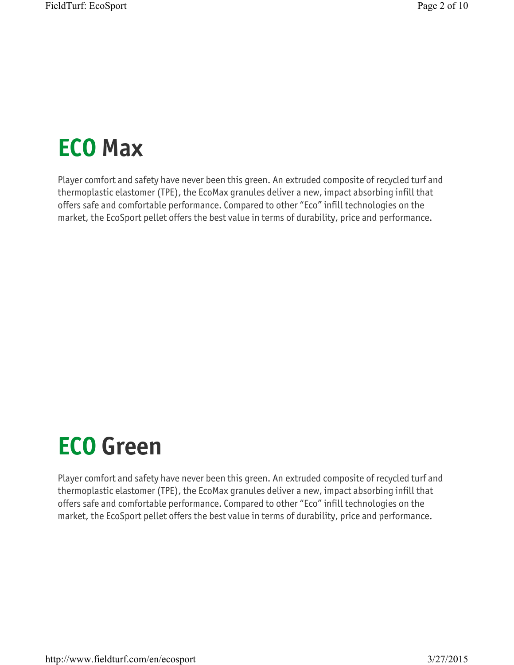## ECO Max

Player comfort and safety have never been this green. An extruded composite of recycled turf and thermoplastic elastomer (TPE), the EcoMax granules deliver a new, impact absorbing infill that offers safe and comfortable performance. Compared to other "Eco" infill technologies on the market, the EcoSport pellet offers the best value in terms of durability, price and performance.

## ECO Green

Player comfort and safety have never been this green. An extruded composite of recycled turf and thermoplastic elastomer (TPE), the EcoMax granules deliver a new, impact absorbing infill that offers safe and comfortable performance. Compared to other "Eco" infill technologies on the market, the EcoSport pellet offers the best value in terms of durability, price and performance.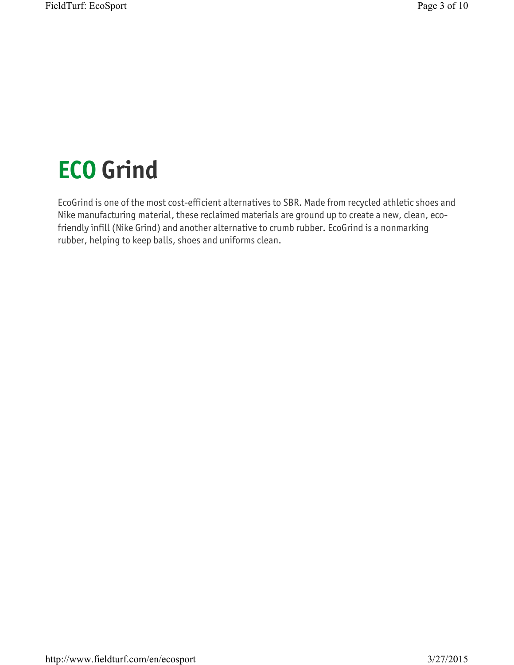## ECO Grind

EcoGrind is one of the most cost-efficient alternatives to SBR. Made from recycled athletic shoes and Nike manufacturing material, these reclaimed materials are ground up to create a new, clean, ecofriendly infill (Nike Grind) and another alternative to crumb rubber. EcoGrind is a nonmarking rubber, helping to keep balls, shoes and uniforms clean.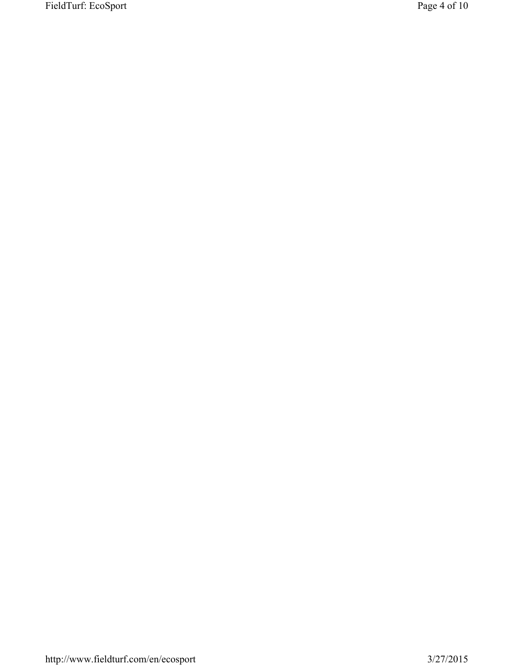FieldTurf: EcoSport Page 4 of 10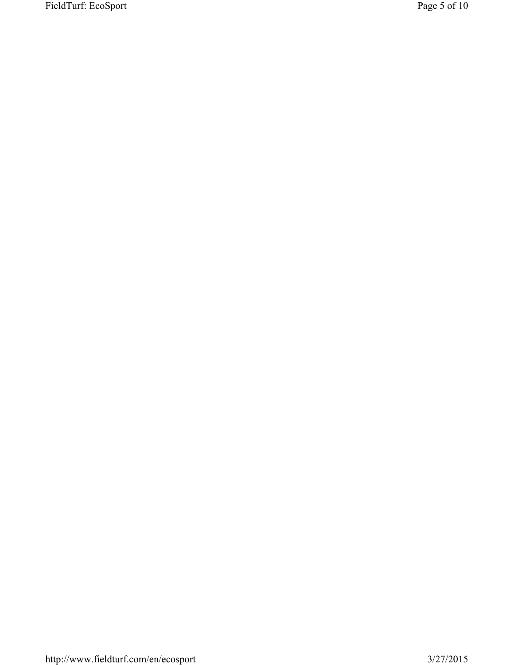FieldTurf: EcoSport Page 5 of 10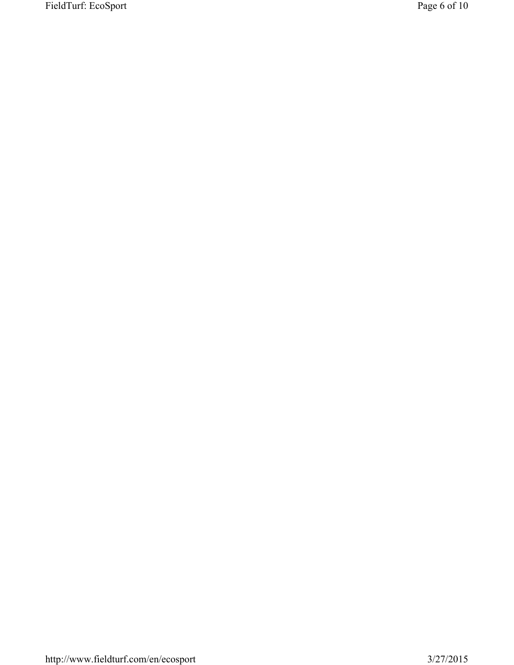FieldTurf: EcoSport Page 6 of 10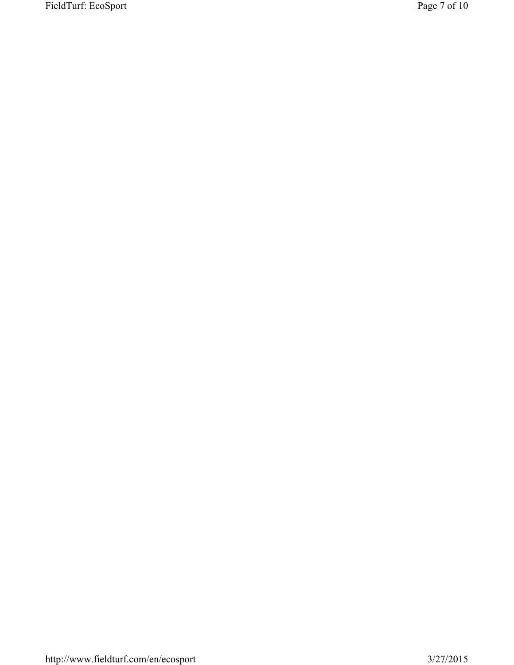FieldTurf: EcoSport Page 7 of 10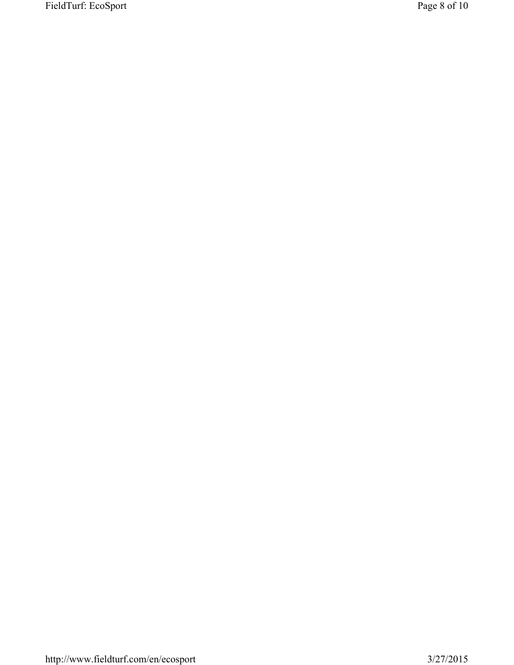FieldTurf: EcoSport Page 8 of 10